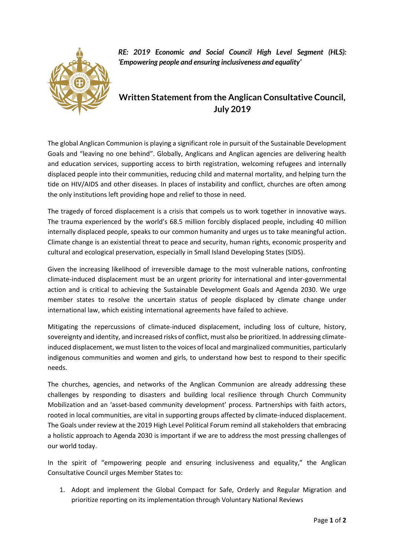

*RE: 2019 Economic and Social Council High Level Segment (HLS): 'Empowering people and ensuring inclusiveness and equality'*

## **Written Statement from the Anglican Consultative Council, July 2019**

The global Anglican Communion is playing a significant role in pursuit of the Sustainable Development Goals and "leaving no one behind". Globally, Anglicans and Anglican agencies are delivering health and education services, supporting access to birth registration, welcoming refugees and internally displaced people into their communities, reducing child and maternal mortality, and helping turn the tide on HIV/AIDS and other diseases. In places of instability and conflict, churches are often among the only institutions left providing hope and relief to those in need.

The tragedy of forced displacement is a crisis that compels us to work together in innovative ways. The trauma experienced by the world's 68.5 million forcibly displaced people, including 40 million internally displaced people, speaks to our common humanity and urges us to take meaningful action. Climate change is an existential threat to peace and security, human rights, economic prosperity and cultural and ecological preservation, especially in Small Island Developing States (SIDS).

Given the increasing likelihood of irreversible damage to the most vulnerable nations, confronting climate-induced displacement must be an urgent priority for international and inter-governmental action and is critical to achieving the Sustainable Development Goals and Agenda 2030. We urge member states to resolve the uncertain status of people displaced by climate change under international law, which existing international agreements have failed to achieve.

Mitigating the repercussions of climate-induced displacement, including loss of culture, history, sovereignty and identity, and increased risks of conflict, must also be prioritized. In addressing climateinduced displacement, we must listen to the voices of local and marginalized communities, particularly indigenous communities and women and girls, to understand how best to respond to their specific needs.

The churches, agencies, and networks of the Anglican Communion are already addressing these challenges by responding to disasters and building local resilience through Church Community Mobilization and an 'asset-based community development' process. Partnerships with faith actors, rooted in local communities, are vital in supporting groups affected by climate-induced displacement. The Goals under review at the 2019 High Level Political Forum remind all stakeholders that embracing a holistic approach to Agenda 2030 is important if we are to address the most pressing challenges of our world today.

In the spirit of "empowering people and ensuring inclusiveness and equality," the Anglican Consultative Council urges Member States to:

1. Adopt and implement the Global Compact for Safe, Orderly and Regular Migration and prioritize reporting on its implementation through Voluntary National Reviews